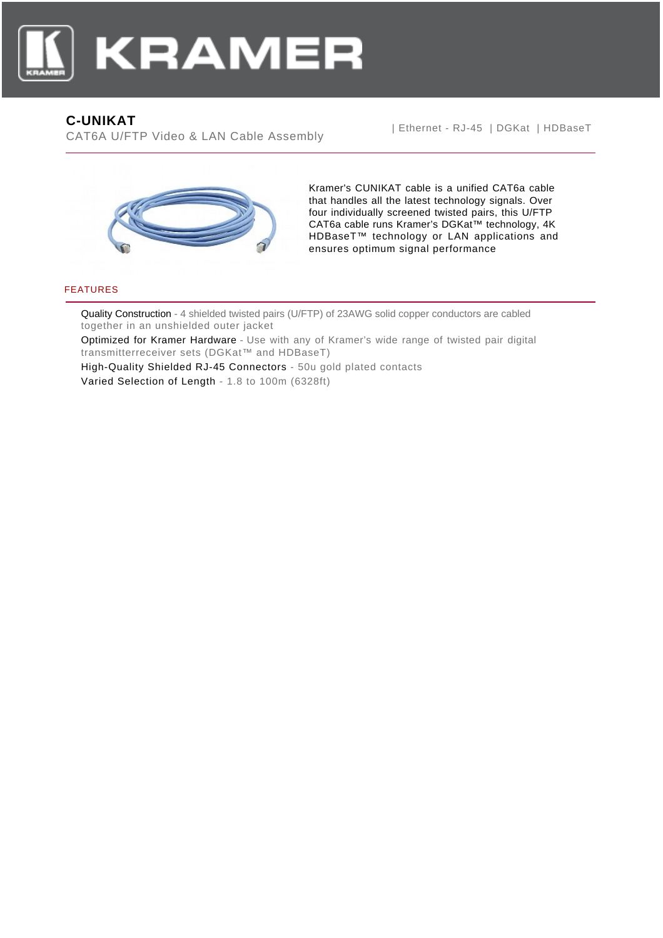

# **C-UNIKAT**

CAT6A U/FTP Video & LAN Cable Assembly

| Ethernet - RJ-45 | DGKat | HDBaseT



Kramer's CUNIKAT cable is a unified CAT6a cable that handles all the latest technology signals. Over four individually screened twisted pairs, this U/FTP CAT6a cable runs Kramer's DGKat™ technology, 4K HDBaseT™ technology or LAN applications and ensures optimum signal performance

### FEATURES

Quality Construction - 4 shielded twisted pairs (U/FTP) of 23AWG solid copper conductors are cabled together in an unshielded outer jacket

Optimized for Kramer Hardware - Use with any of Kramer's wide range of twisted pair digital transmitterreceiver sets (DGKat™ and HDBaseT)

High-Quality Shielded RJ-45 Connectors - 50u gold plated contacts Varied Selection of Length - 1.8 to 100m (6328ft)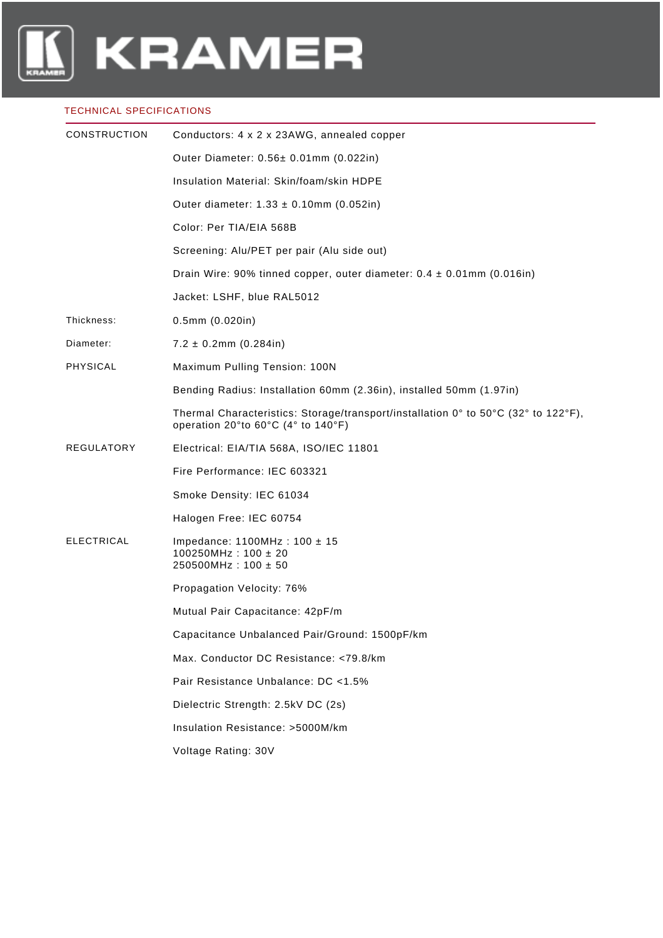

#### TECHNICAL SPECIFICATIONS

| <b>CONSTRUCTION</b> | Conductors: 4 x 2 x 23AWG, annealed copper                                                                               |
|---------------------|--------------------------------------------------------------------------------------------------------------------------|
|                     | Outer Diameter: 0.56± 0.01mm (0.022in)                                                                                   |
|                     | Insulation Material: Skin/foam/skin HDPE                                                                                 |
|                     | Outer diameter: $1.33 \pm 0.10$ mm (0.052in)                                                                             |
|                     | Color: Per TIA/EIA 568B                                                                                                  |
|                     | Screening: Alu/PET per pair (Alu side out)                                                                               |
|                     | Drain Wire: 90% tinned copper, outer diameter: $0.4 \pm 0.01$ mm (0.016in)                                               |
|                     | Jacket: LSHF, blue RAL5012                                                                                               |
| Thickness:          | $0.5$ mm $(0.020$ in)                                                                                                    |
| Diameter:           | $7.2 \pm 0.2$ mm (0.284in)                                                                                               |
| <b>PHYSICAL</b>     | Maximum Pulling Tension: 100N                                                                                            |
|                     | Bending Radius: Installation 60mm (2.36in), installed 50mm (1.97in)                                                      |
|                     | Thermal Characteristics: Storage/transport/installation 0° to 50°C (32° to 122°F),<br>operation 20°to 60°C (4° to 140°F) |
| <b>REGULATORY</b>   | Electrical: EIA/TIA 568A, ISO/IEC 11801                                                                                  |
|                     | Fire Performance: IEC 603321                                                                                             |
|                     | Smoke Density: IEC 61034                                                                                                 |
|                     | Halogen Free: IEC 60754                                                                                                  |
| <b>ELECTRICAL</b>   | Impedance: $1100MHz$ : $100 \pm 15$<br>$100250$ MHz: $100 \pm 20$<br>$250500MHz : 100 \pm 50$                            |
|                     | Propagation Velocity: 76%                                                                                                |
|                     | Mutual Pair Capacitance: 42pF/m                                                                                          |
|                     | Capacitance Unbalanced Pair/Ground: 1500pF/km                                                                            |
|                     | Max. Conductor DC Resistance: <79.8/km                                                                                   |
|                     | Pair Resistance Unbalance: DC <1.5%                                                                                      |
|                     | Dielectric Strength: 2.5kV DC (2s)                                                                                       |
|                     | Insulation Resistance: >5000M/km                                                                                         |
|                     | Voltage Rating: 30V                                                                                                      |